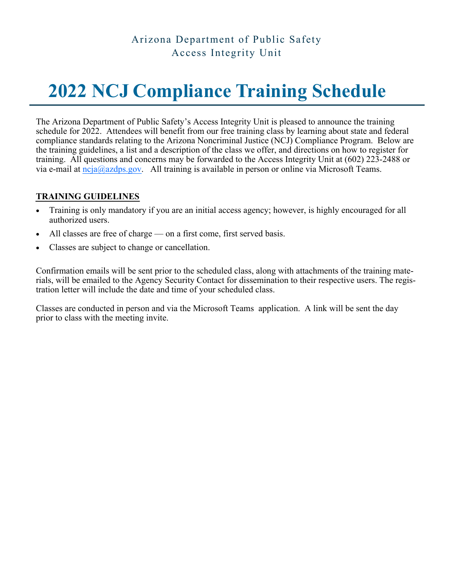### Arizona Department of Public Safety Access Integrity Unit

# **2022 NCJ Compliance Training Schedule**

The Arizona Department of Public Safety's Access Integrity Unit is pleased to announce the training schedule for 2022. Attendees will benefit from our free training class by learning about state and federal compliance standards relating to the Arizona Noncriminal Justice (NCJ) Compliance Program. Below are the training guidelines, a list and a description of the class we offer, and directions on how to register for training. All questions and concerns may be forwarded to the Access Integrity Unit at (602) 223-2488 or via e-mail at  $ncja@azdps.gov$ . All training is available in person or online via Microsoft Teams.

#### **TRAINING GUIDELINES**

- Training is only mandatory if you are an initial access agency; however, is highly encouraged for all authorized users.
- All classes are free of charge on a first come, first served basis.
- Classes are subject to change or cancellation.

Confirmation emails will be sent prior to the scheduled class, along with attachments of the training materials, will be emailed to the Agency Security Contact for dissemination to their respective users. The registration letter will include the date and time of your scheduled class.

Classes are conducted in person and via the Microsoft Teams application. A link will be sent the day prior to class with the meeting invite.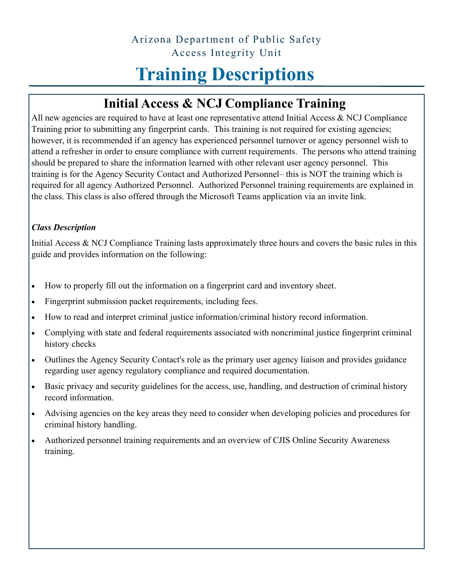### Arizona Department of Public Safety Access Integrity Unit

# **Training Descriptions**

## **Initial Access & NCJ Compliance Training**

All new agencies are required to have at least one representative attend Initial Access & NCJ Compliance Training prior to submitting any fingerprint cards. This training is not required for existing agencies; however, it is recommended if an agency has experienced personnel turnover or agency personnel wish to attend a refresher in order to ensure compliance with current requirements. The persons who attend training should be prepared to share the information learned with other relevant user agency personnel. This training is for the Agency Security Contact and Authorized Personnel– this is NOT the training which is required for all agency Authorized Personnel. Authorized Personnel training requirements are explained in the class. This class is also offered through the Microsoft Teams application via an invite link.

#### *Class Description*

Initial Access & NCJ Compliance Training lasts approximately three hours and covers the basic rules in this guide and provides information on the following:

- How to properly fill out the information on a fingerprint card and inventory sheet.
- Fingerprint submission packet requirements, including fees.
- How to read and interpret criminal justice information/criminal history record information.
- Complying with state and federal requirements associated with noncriminal justice fingerprint criminal history checks
- Outlines the Agency Security Contact's role as the primary user agency liaison and provides guidance regarding user agency regulatory compliance and required documentation.
- Basic privacy and security guidelines for the access, use, handling, and destruction of criminal history record information.
- Advising agencies on the key areas they need to consider when developing policies and procedures for criminal history handling.
- Authorized personnel training requirements and an overview of CJIS Online Security Awareness training.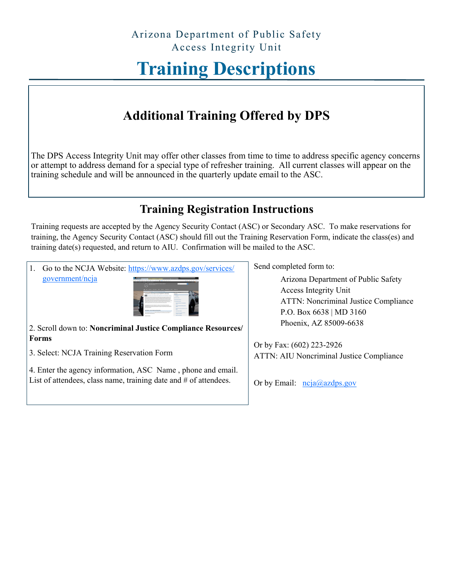# **Training Descriptions**

## **Additional Training Offered by DPS**

The DPS Access Integrity Unit may offer other classes from time to time to address specific agency concerns or attempt to address demand for a special type of refresher training. All current classes will appear on the training schedule and will be announced in the quarterly update email to the ASC.

### **Training Registration Instructions**

Training requests are accepted by the Agency Security Contact (ASC) or Secondary ASC. To make reservations for training, the Agency Security Contact (ASC) should fill out the Training Reservation Form, indicate the class(es) and training date(s) requested, and return to AIU. Confirmation will be mailed to the ASC.

1. Go to the NCJA Website: [https://www.azdps.gov/services/](https://www.azdps.gov/services/government/ncja) [government/ncja](https://www.azdps.gov/services/government/ncja)



2. Scroll down to: **Noncriminal Justice Compliance Resources/ Forms**

3. Select: NCJA Training Reservation Form

4. Enter the agency information, ASC Name , phone and email. List of attendees, class name, training date and # of attendees.

Send completed form to:

Arizona Department of Public Safety Access Integrity Unit ATTN: Noncriminal Justice Compliance P.O. Box 6638 | MD 3160 Phoenix, AZ 85009-6638

Or by Fax: (602) 223-2926 ATTN: AIU Noncriminal Justice Compliance

Or by Email:  $ncja(\partial_0 azdps.gov)$